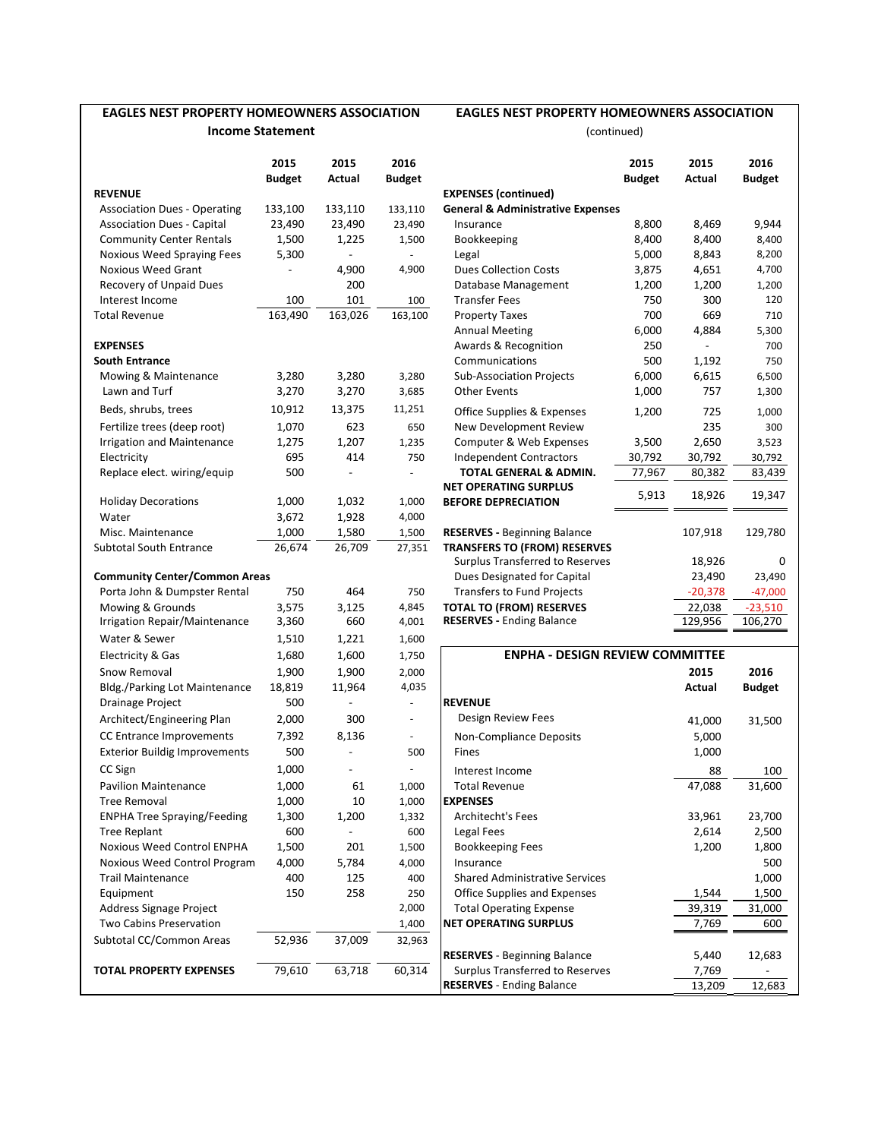### **EAGLES NEST PROPERTY HOMEOWNERS ASSOCIATION Income Statement**

## **EAGLES NEST PROPERTY HOMEOWNERS ASSOCIATION**

(continued)

|                                                           | 2015<br><b>Budget</b>    | 2015<br>Actual           | 2016<br><b>Budget</b> |                                                                        | 2015<br><b>Budget</b> | 2015<br>Actual  | 2016<br><b>Budget</b> |
|-----------------------------------------------------------|--------------------------|--------------------------|-----------------------|------------------------------------------------------------------------|-----------------------|-----------------|-----------------------|
| <b>REVENUE</b>                                            |                          |                          |                       | <b>EXPENSES</b> (continued)                                            |                       |                 |                       |
| <b>Association Dues - Operating</b>                       | 133,100                  | 133,110                  | 133,110               | <b>General &amp; Administrative Expenses</b>                           |                       |                 |                       |
| <b>Association Dues - Capital</b>                         | 23,490                   | 23,490                   | 23,490                | Insurance                                                              | 8,800                 | 8,469           | 9,944                 |
| <b>Community Center Rentals</b>                           | 1,500                    | 1,225                    | 1,500                 | Bookkeeping                                                            | 8,400                 | 8,400           | 8,400                 |
| Noxious Weed Spraying Fees                                | 5,300                    | $\overline{\phantom{0}}$ |                       | Legal                                                                  | 5,000                 | 8,843           | 8,200                 |
| <b>Noxious Weed Grant</b>                                 | $\overline{\phantom{a}}$ | 4,900                    | 4,900                 | <b>Dues Collection Costs</b>                                           | 3,875                 | 4,651           | 4,700                 |
| Recovery of Unpaid Dues                                   |                          | 200                      |                       | Database Management                                                    | 1,200                 | 1,200           | 1,200                 |
| Interest Income                                           | 100                      | 101                      | 100                   | <b>Transfer Fees</b>                                                   | 750                   | 300             | 120                   |
| <b>Total Revenue</b>                                      | 163,490                  | 163,026                  | 163,100               | <b>Property Taxes</b>                                                  | 700                   | 669             | 710                   |
|                                                           |                          |                          |                       | <b>Annual Meeting</b>                                                  | 6,000                 | 4,884           | 5,300                 |
| <b>EXPENSES</b>                                           |                          |                          |                       | Awards & Recognition                                                   | 250                   |                 | 700                   |
| <b>South Entrance</b>                                     |                          |                          |                       | Communications                                                         | 500                   | 1,192           | 750                   |
| Mowing & Maintenance                                      | 3,280                    | 3,280                    | 3,280                 | <b>Sub-Association Projects</b>                                        | 6,000                 | 6,615           | 6,500                 |
| Lawn and Turf                                             | 3,270                    | 3,270                    | 3,685                 | <b>Other Events</b>                                                    | 1,000                 | 757             | 1,300                 |
| Beds, shrubs, trees                                       | 10,912                   | 13,375                   | 11,251                | Office Supplies & Expenses                                             | 1,200                 | 725             | 1,000                 |
| Fertilize trees (deep root)                               | 1,070                    | 623                      | 650                   | New Development Review                                                 |                       | 235             | 300                   |
| <b>Irrigation and Maintenance</b>                         | 1,275                    | 1,207                    | 1,235                 | Computer & Web Expenses                                                | 3,500                 | 2,650           | 3,523                 |
| Electricity                                               | 695                      | 414                      | 750                   | <b>Independent Contractors</b>                                         | 30,792                | 30,792          | 30,792                |
| Replace elect. wiring/equip                               | 500                      |                          |                       | <b>TOTAL GENERAL &amp; ADMIN.</b>                                      | 77,967                | 80,382          | 83,439                |
|                                                           |                          |                          |                       | <b>NET OPERATING SURPLUS</b>                                           | 5,913                 | 18,926          | 19,347                |
| <b>Holiday Decorations</b>                                | 1,000                    | 1,032                    | 1,000                 | <b>BEFORE DEPRECIATION</b>                                             |                       |                 |                       |
| Water                                                     | 3,672                    | 1,928                    | 4,000                 |                                                                        |                       |                 |                       |
| Misc. Maintenance                                         | 1,000                    | 1,580                    | 1,500                 | <b>RESERVES - Beginning Balance</b>                                    |                       | 107,918         | 129,780               |
| <b>Subtotal South Entrance</b>                            | 26,674                   | 26,709                   | 27,351                | <b>TRANSFERS TO (FROM) RESERVES</b><br>Surplus Transferred to Reserves |                       | 18,926          | 0                     |
| <b>Community Center/Common Areas</b>                      |                          |                          |                       | Dues Designated for Capital                                            |                       | 23,490          | 23,490                |
| Porta John & Dumpster Rental                              | 750                      | 464                      | 750                   | <b>Transfers to Fund Projects</b>                                      |                       | $-20,378$       | $-47,000$             |
| Mowing & Grounds                                          | 3,575                    | 3,125                    | 4,845                 | <b>TOTAL TO (FROM) RESERVES</b>                                        |                       | 22,038          | $-23,510$             |
| Irrigation Repair/Maintenance                             | 3,360                    | 660                      | 4,001                 | <b>RESERVES - Ending Balance</b>                                       |                       | 129,956         | 106,270               |
| Water & Sewer                                             | 1,510                    | 1,221                    | 1,600                 |                                                                        |                       |                 |                       |
| Electricity & Gas                                         | 1,680                    | 1,600                    | 1,750                 | <b>ENPHA - DESIGN REVIEW COMMITTEE</b>                                 |                       |                 |                       |
| Snow Removal                                              | 1,900                    | 1,900                    | 2,000                 |                                                                        |                       | 2015            | 2016                  |
| <b>Bldg./Parking Lot Maintenance</b>                      | 18,819                   | 11,964                   | 4,035                 |                                                                        |                       | Actual          | <b>Budget</b>         |
| Drainage Project                                          | 500                      |                          | ÷,                    | <b>REVENUE</b>                                                         |                       |                 |                       |
| Architect/Engineering Plan                                | 2,000                    | 300                      | ä,                    | Design Review Fees                                                     |                       | 41,000          | 31,500                |
| CC Entrance Improvements                                  | 7,392                    | 8,136                    |                       | Non-Compliance Deposits                                                |                       | 5,000           |                       |
| <b>Exterior Buildig Improvements</b>                      | 500                      |                          | 500                   | Fines                                                                  |                       | 1,000           |                       |
| CC Sign                                                   | 1,000                    |                          |                       |                                                                        |                       |                 |                       |
|                                                           |                          |                          |                       | Interest Income                                                        |                       | 88              | 100                   |
| Pavilion Maintenance                                      | 1,000                    | 61                       | 1,000                 | <b>Total Revenue</b>                                                   |                       | 47,088          | 31,600                |
| <b>Tree Removal</b><br><b>ENPHA Tree Spraying/Feeding</b> | 1,000                    | 10                       | 1,000                 | <b>EXPENSES</b>                                                        |                       |                 | 23,700                |
| <b>Tree Replant</b>                                       | 1,300<br>600             | 1,200                    | 1,332<br>600          | Architecht's Fees<br><b>Legal Fees</b>                                 |                       | 33,961<br>2,614 | 2,500                 |
| Noxious Weed Control ENPHA                                | 1,500                    | 201                      | 1,500                 | <b>Bookkeeping Fees</b>                                                |                       | 1,200           | 1,800                 |
| Noxious Weed Control Program                              | 4,000                    | 5,784                    | 4,000                 | Insurance                                                              |                       |                 | 500                   |
| <b>Trail Maintenance</b>                                  | 400                      | 125                      | 400                   | <b>Shared Administrative Services</b>                                  |                       |                 | 1,000                 |
| Equipment                                                 | 150                      | 258                      | 250                   | Office Supplies and Expenses                                           |                       | 1,544           | 1,500                 |
| Address Signage Project                                   |                          |                          | 2,000                 | <b>Total Operating Expense</b>                                         |                       | 39,319          | 31,000                |
| Two Cabins Preservation                                   |                          |                          | 1,400                 | <b>NET OPERATING SURPLUS</b>                                           |                       | 7,769           | 600                   |
| Subtotal CC/Common Areas                                  | 52,936                   | 37,009                   | 32,963                |                                                                        |                       |                 |                       |
|                                                           |                          |                          |                       | <b>RESERVES</b> - Beginning Balance                                    |                       | 5,440           | 12,683                |
| <b>TOTAL PROPERTY EXPENSES</b>                            | 79,610                   | 63,718                   | 60,314                | Surplus Transferred to Reserves<br><b>RESERVES</b> - Ending Balance    |                       | 7,769<br>13.209 | 12683                 |
|                                                           |                          |                          |                       |                                                                        |                       |                 |                       |

|                                     | 2015<br><b>Budget</b> | 2015<br>Actual | 2016<br><b>Budget</b> |                                              | 2015<br><b>Budget</b> | 2015<br>Actual | 2016<br><b>Budget</b> |
|-------------------------------------|-----------------------|----------------|-----------------------|----------------------------------------------|-----------------------|----------------|-----------------------|
| <b>EVENUE</b>                       |                       |                |                       | <b>EXPENSES (continued)</b>                  |                       |                |                       |
| <b>Association Dues - Operating</b> | 133,100               | 133,110        | 133,110               | <b>General &amp; Administrative Expenses</b> |                       |                |                       |
| <b>Association Dues - Capital</b>   | 23,490                | 23,490         | 23,490                | Insurance                                    | 8,800                 | 8,469          | 9,944                 |
| <b>Community Center Rentals</b>     | 1,500                 | 1,225          | 1,500                 | Bookkeeping                                  | 8,400                 | 8,400          | 8,400                 |
| Noxious Weed Spraying Fees          | 5,300                 |                |                       | Legal                                        | 5,000                 | 8,843          | 8,200                 |
| <b>Noxious Weed Grant</b>           |                       | 4,900          | 4,900                 | <b>Dues Collection Costs</b>                 | 3,875                 | 4,651          | 4,700                 |
| <b>Recovery of Unpaid Dues</b>      |                       | 200            |                       | Database Management                          | 1,200                 | 1,200          | 1,200                 |
| Interest Income                     | 100                   | 101            | 100                   | <b>Transfer Fees</b>                         | 750                   | 300            | 120                   |
| otal Revenue                        | 163,490               | 163,026        | 163,100               | <b>Property Taxes</b>                        | 700                   | 669            | 710                   |
|                                     |                       |                |                       | <b>Annual Meeting</b>                        | 6,000                 | 4,884          | 5,300                 |
| <b>XPENSES</b>                      |                       |                |                       | Awards & Recognition                         | 250                   |                | 700                   |
| outh Entrance                       |                       |                |                       | Communications                               | 500                   | 1,192          | 750                   |
| Mowing & Maintenance                | 3,280                 | 3,280          | 3,280                 | Sub-Association Projects                     | 6,000                 | 6,615          | 6,500                 |
| Lawn and Turf                       | 3,270                 | 3,270          | 3,685                 | <b>Other Events</b>                          | 1,000                 | 757            | 1,300                 |
| Beds, shrubs, trees                 | 10,912                | 13,375         | 11,251                | Office Supplies & Expenses                   | 1,200                 | 725            | 1,000                 |
| Fertilize trees (deep root)         | 1,070                 | 623            | 650                   | New Development Review                       |                       | 235            | 300                   |
| <b>Irrigation and Maintenance</b>   | 1,275                 | 1,207          | 1,235                 | Computer & Web Expenses                      | 3,500                 | 2,650          | 3,523                 |
| Electricity                         | 695                   | 414            | 750                   | <b>Independent Contractors</b>               | 30,792                | 30,792         | 30,792                |
| Replace elect. wiring/equip         | 500                   |                |                       | <b>TOTAL GENERAL &amp; ADMIN.</b>            | 77,967                | 80,382         | 83,439                |
|                                     |                       |                |                       | <b>NET OPERATING SURPLUS</b>                 | 5,913                 | 18,926         | 19,347                |
| <b>Holiday Decorations</b>          | 1,000                 | 1,032          | 1,000                 | <b>BEFORE DEPRECIATION</b>                   |                       |                |                       |
| Water                               | 3,672                 | 1,928          | 4,000                 |                                              |                       |                |                       |
| Misc. Maintenance                   | 1,000                 | 1,580          | 1,500                 | <b>RESERVES - Beginning Balance</b>          |                       | 107,918        | 129,780               |
| ubtotal South Entrance              | 26,674                | 26,709         | 27,351                | <b>TRANSFERS TO (FROM) RESERVES</b>          |                       |                |                       |
|                                     |                       |                |                       | Surplus Transferred to Reserves              |                       | 18,926         | $\Omega$              |
| ommunity Center/Common Areas        |                       |                |                       | Dues Designated for Capital                  |                       | 23,490         | 23,490                |
| Porta John & Dumpster Rental        | 750                   | 464            | 750                   | <b>Transfers to Fund Projects</b>            |                       | $-20,378$      | $-47,000$             |
| Mowing & Grounds                    | 3,575                 | 3,125          | 4,845                 | <b>TOTAL TO (FROM) RESERVES</b>              |                       | 22,038         | $-23,510$             |
| Irrigation Repair/Maintenance       | 3,360                 | 660            | 4,001                 | <b>RESERVES - Ending Balance</b>             |                       | 129,956        | 106,270               |
|                                     |                       |                |                       |                                              |                       |                |                       |

| Electricity & Gas                    | 1,680  | 1,600  | 1,750  | <b>ENPHA - DESIGN REVIEW COMMITTEE</b> |        |               |
|--------------------------------------|--------|--------|--------|----------------------------------------|--------|---------------|
| Snow Removal                         | 1,900  | 1,900  | 2,000  |                                        | 2015   | 2016          |
| <b>Bldg./Parking Lot Maintenance</b> | 18,819 | 11,964 | 4,035  |                                        | Actual | <b>Budget</b> |
| Drainage Project                     | 500    |        |        | <b>REVENUE</b>                         |        |               |
| Architect/Engineering Plan           | 2,000  | 300    |        | Design Review Fees                     | 41,000 | 31,500        |
| CC Entrance Improvements             | 7,392  | 8,136  |        | Non-Compliance Deposits                | 5,000  |               |
| <b>Exterior Buildig Improvements</b> | 500    |        | 500    | Fines                                  | 1,000  |               |
| CC Sign                              | 1,000  |        |        | Interest Income                        | 88     | 100           |
| <b>Pavilion Maintenance</b>          | 1,000  | 61     | 1,000  | <b>Total Revenue</b>                   | 47,088 | 31,600        |
| Tree Removal                         | 1,000  | 10     | 1,000  | <b>EXPENSES</b>                        |        |               |
| <b>ENPHA Tree Spraying/Feeding</b>   | 1,300  | 1,200  | 1,332  | Architecht's Fees                      | 33,961 | 23,700        |
| Tree Replant                         | 600    |        | 600    | Legal Fees                             | 2,614  | 2,500         |
| Noxious Weed Control ENPHA           | 1,500  | 201    | 1,500  | <b>Bookkeeping Fees</b>                | 1,200  | 1,800         |
| Noxious Weed Control Program         | 4,000  | 5,784  | 4,000  | Insurance                              |        | 500           |
| Trail Maintenance                    | 400    | 125    | 400    | <b>Shared Administrative Services</b>  |        | 1,000         |
| Equipment                            | 150    | 258    | 250    | Office Supplies and Expenses           | 1,544  | 1,500         |
| Address Signage Project              |        |        | 2,000  | <b>Total Operating Expense</b>         | 39,319 | 31,000        |
| Two Cabins Preservation              |        |        | 1,400  | <b>NET OPERATING SURPLUS</b>           | 7,769  | 600           |
| ubtotal CC/Common Areas              | 52,936 | 37,009 | 32,963 |                                        |        |               |
|                                      |        |        |        | <b>RESERVES</b> - Beginning Balance    | 5,440  | 12,683        |
| <b>OTAL PROPERTY EXPENSES</b>        | 79,610 | 63,718 | 60,314 | Surplus Transferred to Reserves        | 7,769  |               |
|                                      |        |        |        | <b>RESERVES</b> - Ending Balance       | 13,209 | 12,683        |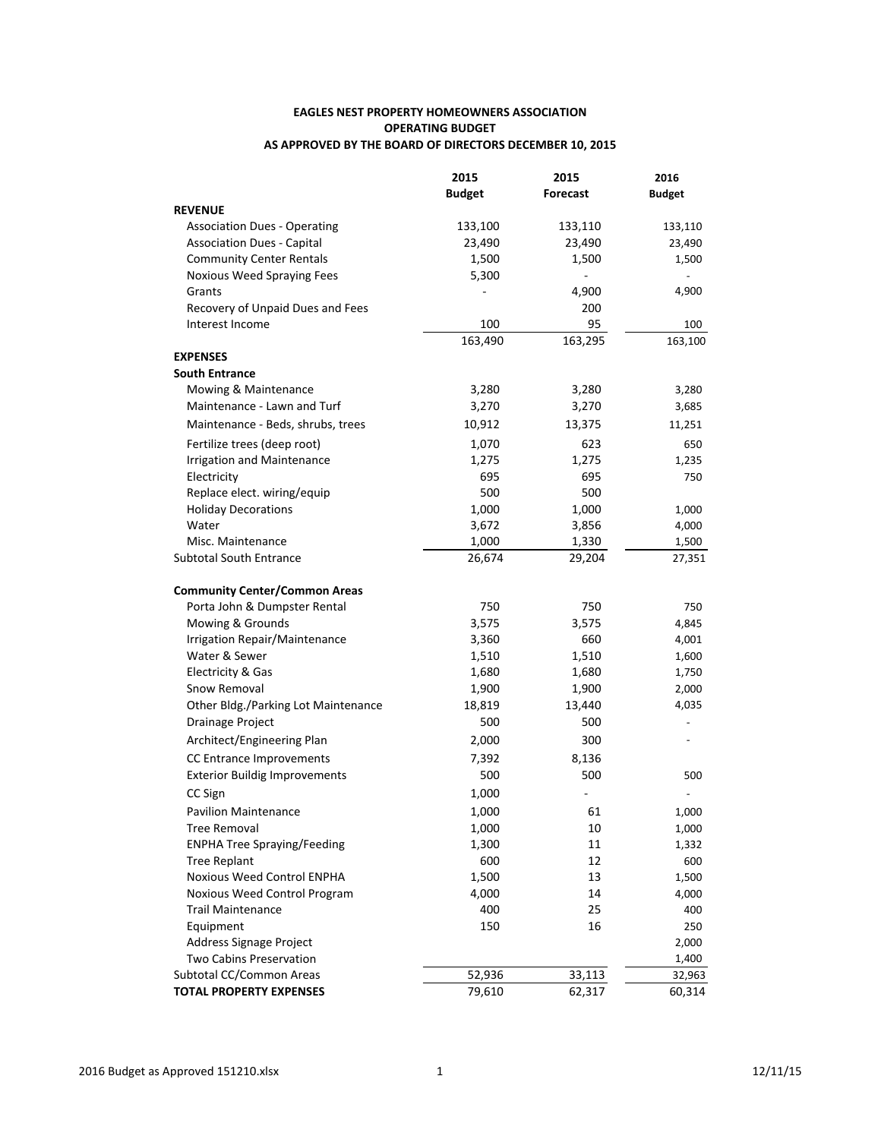#### **EAGLES NEST PROPERTY HOMEOWNERS ASSOCIATION OPERATING BUDGET** AS APPROVED BY THE BOARD OF DIRECTORS DECEMBER 10, 2015

|                                      | 2015          | 2015            | 2016          |
|--------------------------------------|---------------|-----------------|---------------|
|                                      | <b>Budget</b> | <b>Forecast</b> | <b>Budget</b> |
| <b>REVENUE</b>                       |               |                 |               |
| <b>Association Dues - Operating</b>  | 133,100       | 133,110         | 133,110       |
| <b>Association Dues - Capital</b>    | 23,490        | 23,490          | 23,490        |
| <b>Community Center Rentals</b>      | 1,500         | 1,500           | 1,500         |
| Noxious Weed Spraying Fees           | 5,300         |                 |               |
| Grants                               |               | 4,900           | 4,900         |
| Recovery of Unpaid Dues and Fees     |               | 200             |               |
| Interest Income                      | 100           | 95              | 100           |
|                                      | 163,490       | 163,295         | 163,100       |
| <b>EXPENSES</b>                      |               |                 |               |
| <b>South Entrance</b>                |               |                 |               |
| Mowing & Maintenance                 | 3,280         | 3,280           | 3,280         |
| Maintenance - Lawn and Turf          | 3,270         | 3,270           | 3,685         |
| Maintenance - Beds, shrubs, trees    | 10,912        | 13,375          | 11,251        |
| Fertilize trees (deep root)          | 1,070         | 623             | 650           |
| <b>Irrigation and Maintenance</b>    | 1,275         | 1,275           | 1,235         |
| Electricity                          | 695           | 695             | 750           |
| Replace elect. wiring/equip          | 500           | 500             |               |
| <b>Holiday Decorations</b>           | 1,000         | 1,000           | 1,000         |
| Water                                | 3,672         | 3,856           | 4,000         |
| Misc. Maintenance                    | 1,000         | 1,330           | 1,500         |
| <b>Subtotal South Entrance</b>       | 26,674        | 29,204          | 27,351        |
| <b>Community Center/Common Areas</b> |               |                 |               |
| Porta John & Dumpster Rental         | 750           | 750             | 750           |
| Mowing & Grounds                     | 3,575         | 3,575           | 4,845         |
| Irrigation Repair/Maintenance        | 3,360         | 660             | 4,001         |
| Water & Sewer                        | 1,510         | 1,510           | 1,600         |
| Electricity & Gas                    | 1,680         | 1,680           | 1,750         |
| Snow Removal                         | 1,900         | 1,900           | 2,000         |
| Other Bldg./Parking Lot Maintenance  | 18,819        | 13,440          | 4,035         |
| Drainage Project                     | 500           | 500             |               |
| Architect/Engineering Plan           | 2,000         | 300             |               |
| <b>CC</b> Entrance Improvements      | 7,392         | 8,136           |               |
| <b>Exterior Buildig Improvements</b> | 500           | 500             | 500           |
|                                      |               |                 |               |
| CC Sign                              | 1,000         |                 |               |
| <b>Pavilion Maintenance</b>          | 1,000         | 61              | 1,000         |
| <b>Tree Removal</b>                  | 1,000         | 10              | 1,000         |
| <b>ENPHA Tree Spraying/Feeding</b>   | 1,300         | 11              | 1,332         |
| <b>Tree Replant</b>                  | 600           | 12              | 600           |
| <b>Noxious Weed Control ENPHA</b>    | 1,500         | 13              | 1,500         |
| Noxious Weed Control Program         | 4,000         | 14              | 4,000         |
| <b>Trail Maintenance</b>             | 400           | 25              | 400           |
| Equipment                            | 150           | 16              | 250           |
| Address Signage Project              |               |                 | 2,000         |
| Two Cabins Preservation              |               |                 | 1,400         |
| Subtotal CC/Common Areas             | 52,936        | 33,113          | 32,963        |
| <b>TOTAL PROPERTY EXPENSES</b>       | 79,610        | 62,317          | 60,314        |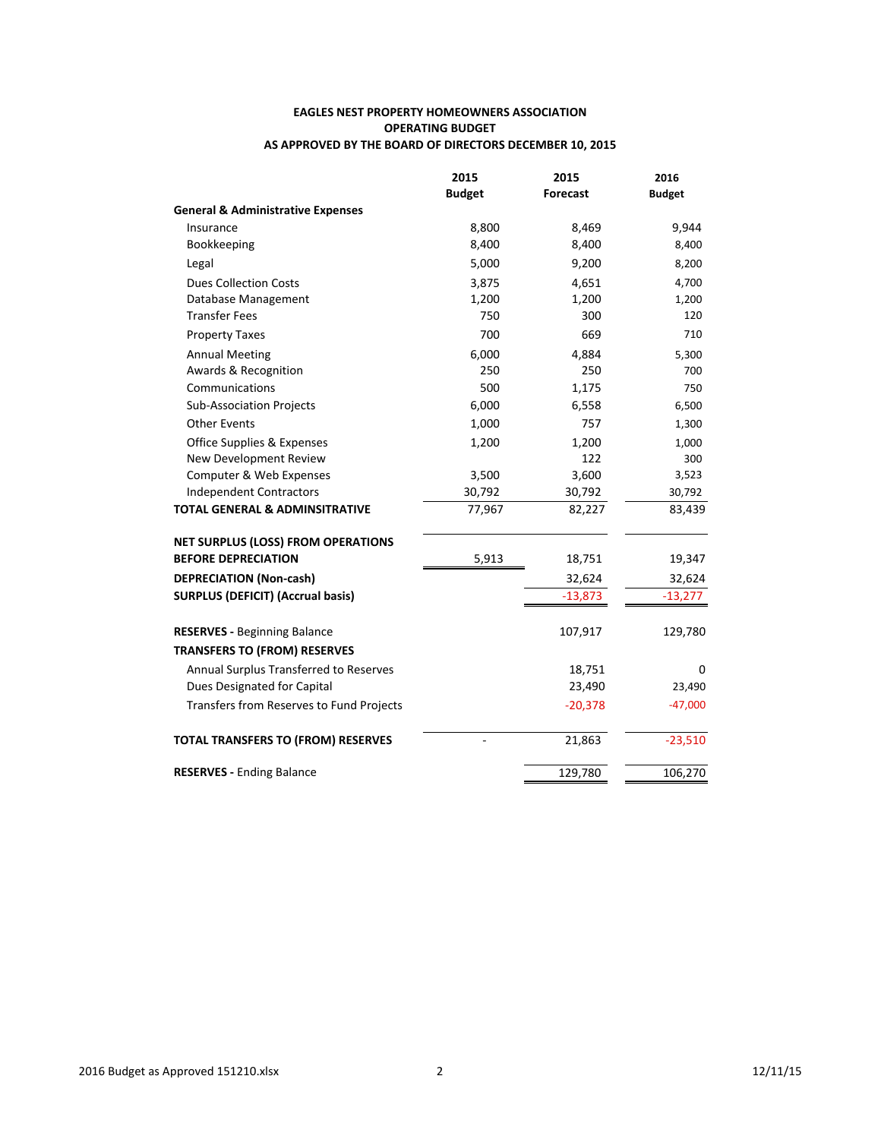#### **EAGLES NEST PROPERTY HOMEOWNERS ASSOCIATION OPERATING BUDGET** AS APPROVED BY THE BOARD OF DIRECTORS DECEMBER 10, 2015

|                                              | 2015          | 2015      | 2016          |
|----------------------------------------------|---------------|-----------|---------------|
|                                              | <b>Budget</b> | Forecast  | <b>Budget</b> |
| <b>General &amp; Administrative Expenses</b> |               |           |               |
| Insurance                                    | 8,800         | 8,469     | 9,944         |
| Bookkeeping                                  | 8,400         | 8,400     | 8,400         |
| Legal                                        | 5,000         | 9,200     | 8,200         |
| <b>Dues Collection Costs</b>                 | 3,875         | 4,651     | 4,700         |
| Database Management                          | 1,200         | 1,200     | 1,200         |
| Transfer Fees                                | 750           | 300       | 120           |
| <b>Property Taxes</b>                        | 700           | 669       | 710           |
| <b>Annual Meeting</b>                        | 6,000         | 4,884     | 5,300         |
| Awards & Recognition                         | 250           | 250       | 700           |
| Communications                               | 500           | 1,175     | 750           |
| Sub-Association Projects                     | 6,000         | 6,558     | 6,500         |
| <b>Other Events</b>                          | 1,000         | 757       | 1,300         |
| Office Supplies & Expenses                   | 1,200         | 1,200     | 1,000         |
| New Development Review                       |               | 122       | 300           |
| Computer & Web Expenses                      | 3,500         | 3,600     | 3,523         |
| <b>Independent Contractors</b>               | 30,792        | 30,792    | 30,792        |
| <b>TOTAL GENERAL &amp; ADMINSITRATIVE</b>    | 77,967        | 82,227    | 83,439        |
| <b>NET SURPLUS (LOSS) FROM OPERATIONS</b>    |               |           |               |
| <b>BEFORE DEPRECIATION</b>                   | 5,913         | 18,751    | 19,347        |
| <b>DEPRECIATION (Non-cash)</b>               |               | 32,624    | 32,624        |
| <b>SURPLUS (DEFICIT) (Accrual basis)</b>     |               | $-13,873$ | $-13,277$     |
| <b>RESERVES - Beginning Balance</b>          |               | 107,917   | 129,780       |
| <b>TRANSFERS TO (FROM) RESERVES</b>          |               |           |               |
| Annual Surplus Transferred to Reserves       |               | 18,751    | 0             |
| Dues Designated for Capital                  |               | 23,490    | 23,490        |
| Transfers from Reserves to Fund Projects     |               | $-20,378$ | $-47,000$     |
| TOTAL TRANSFERS TO (FROM) RESERVES           | ÷             | 21,863    | $-23,510$     |
| <b>RESERVES - Ending Balance</b>             |               | 129,780   | 106,270       |
|                                              |               |           |               |